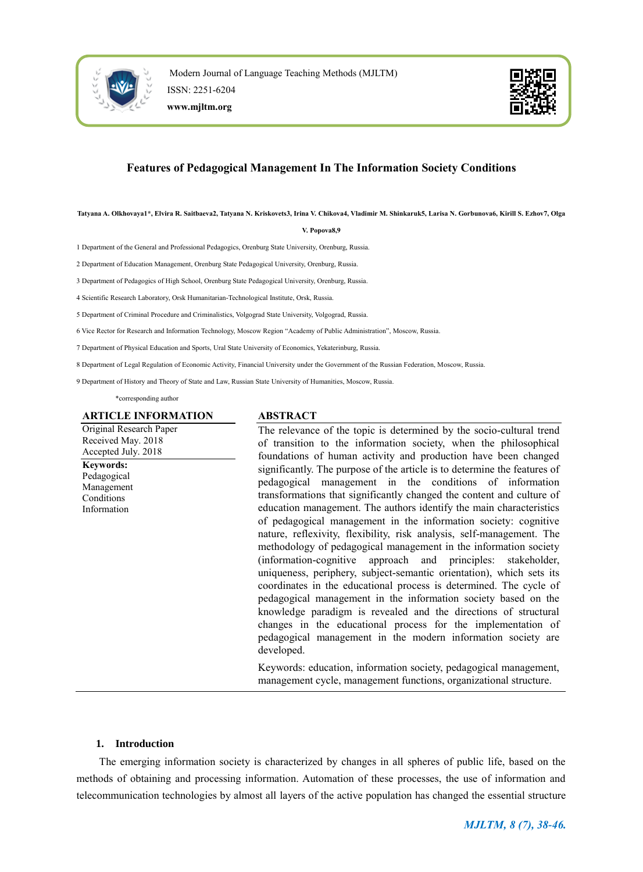



# **Features of Pedagogical Management In The Information Society Conditions**

**Tatyana A. Olkhovaya1\*, Elvira R. Saitbaeva2, Tatyana N. Kriskovets3, Irina V. Chikova4, Vladimir M. Shinkaruk5, Larisa N. Gorbunova6, Kirill S. Ezhov7, Olga** 

#### **V. Popova8,9**

1 Department of the General and Professional Pedagogics, Orenburg State University, Orenburg, Russia.

2 Department of Education Management, Orenburg State Pedagogical University, Orenburg, Russia.

3 Department of Pedagogics of High School, Orenburg State Pedagogical University, Orenburg, Russia.

4 Scientific Research Laboratory, Orsk Humanitarian-Technological Institute, Orsk, Russia.

5 Department of Criminal Procedure and Criminalistics, Volgograd State University, Volgograd, Russia.

6 Vice Rector for Research and Information Technology, Moscow Region "Academy of Public Administration", Moscow, Russia.

7 Department of Physical Education and Sports, Ural State University of Economics, Yekaterinburg, Russia.

8 Department of Legal Regulation of Economic Activity, Financial University under the Government of the Russian Federation, Moscow, Russia.

9 Department of History and Theory of State and Law, Russian State University of Humanities, Moscow, Russia.

\*corresponding author

#### **ARTICLE INFORMATION**

Original Research Paper Received May. 2018 Accepted July. 2018 **Keywords:** Pedagogical Management Conditions Information

# **ABSTRACT**

The relevance of the topic is determined by the socio-cultural trend of transition to the information society, when the philosophical foundations of human activity and production have been changed significantly. The purpose of the article is to determine the features of pedagogical management in the conditions of information transformations that significantly changed the content and culture of education management. The authors identify the main characteristics of pedagogical management in the information society: cognitive nature, reflexivity, flexibility, risk analysis, self-management. The methodology of pedagogical management in the information society (information-cognitive approach and principles: stakeholder, uniqueness, periphery, subject-semantic orientation), which sets its coordinates in the educational process is determined. The cycle of pedagogical management in the information society based on the knowledge paradigm is revealed and the directions of structural changes in the educational process for the implementation of pedagogical management in the modern information society are developed.

Keywords: education, information society, pedagogical management, management cycle, management functions, organizational structure.

# **1. Introduction**

The emerging information society is characterized by changes in all spheres of public life, based on the methods of obtaining and processing information. Automation of these processes, the use of information and telecommunication technologies by almost all layers of the active population has changed the essential structure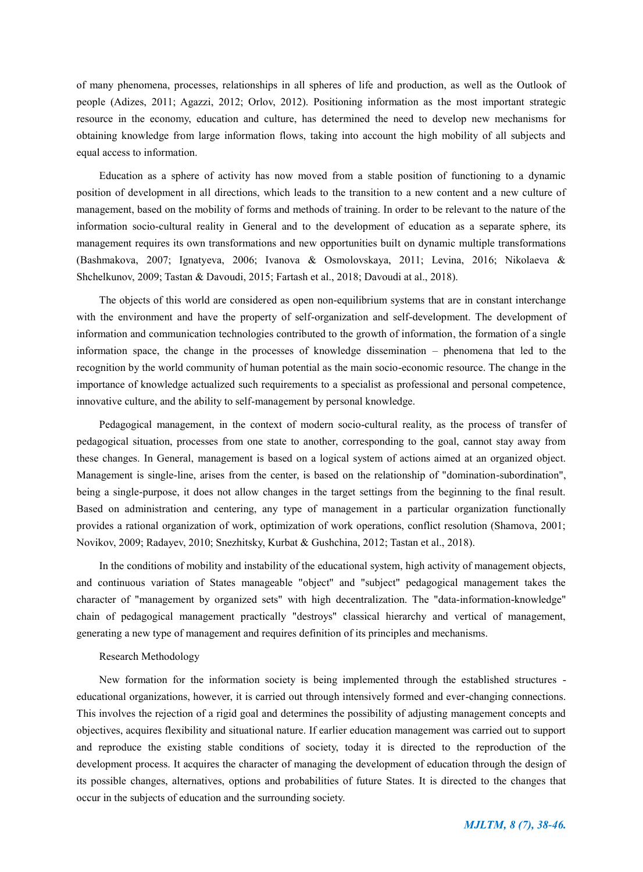of many phenomena, processes, relationships in all spheres of life and production, as well as the Outlook of people (Adizes, 2011; Agazzi, 2012; Orlov, 2012). Positioning information as the most important strategic resource in the economy, education and culture, has determined the need to develop new mechanisms for obtaining knowledge from large information flows, taking into account the high mobility of all subjects and equal access to information.

Education as a sphere of activity has now moved from a stable position of functioning to a dynamic position of development in all directions, which leads to the transition to a new content and a new culture of management, based on the mobility of forms and methods of training. In order to be relevant to the nature of the information socio-cultural reality in General and to the development of education as a separate sphere, its management requires its own transformations and new opportunities built on dynamic multiple transformations (Bashmakova, 2007; Ignatyeva, 2006; Ivanova & Osmolovskaya, 2011; Levina, 2016; Nikolaeva & Shchelkunov, 2009; Tastan & Davoudi, 2015; Fartash et al., 2018; Davoudi at al., 2018).

The objects of this world are considered as open non-equilibrium systems that are in constant interchange with the environment and have the property of self-organization and self-development. The development of information and communication technologies contributed to the growth of information, the formation of a single information space, the change in the processes of knowledge dissemination – phenomena that led to the recognition by the world community of human potential as the main socio-economic resource. The change in the importance of knowledge actualized such requirements to a specialist as professional and personal competence, innovative culture, and the ability to self-management by personal knowledge.

Pedagogical management, in the context of modern socio-cultural reality, as the process of transfer of pedagogical situation, processes from one state to another, corresponding to the goal, cannot stay away from these changes. In General, management is based on a logical system of actions aimed at an organized object. Management is single-line, arises from the center, is based on the relationship of "domination-subordination", being a single-purpose, it does not allow changes in the target settings from the beginning to the final result. Based on administration and centering, any type of management in a particular organization functionally provides a rational organization of work, optimization of work operations, conflict resolution (Shamova, 2001; Novikov, 2009; Radayev, 2010; Snezhitsky, Kurbat & Gushchina, 2012; Tastan et al., 2018).

In the conditions of mobility and instability of the educational system, high activity of management objects, and continuous variation of States manageable "object" and "subject" pedagogical management takes the character of "management by organized sets" with high decentralization. The "data-information-knowledge" chain of pedagogical management practically "destroys" classical hierarchy and vertical of management, generating a new type of management and requires definition of its principles and mechanisms.

# Research Methodology

New formation for the information society is being implemented through the established structures educational organizations, however, it is carried out through intensively formed and ever-changing connections. This involves the rejection of a rigid goal and determines the possibility of adjusting management concepts and objectives, acquires flexibility and situational nature. If earlier education management was carried out to support and reproduce the existing stable conditions of society, today it is directed to the reproduction of the development process. It acquires the character of managing the development of education through the design of its possible changes, alternatives, options and probabilities of future States. It is directed to the changes that occur in the subjects of education and the surrounding society.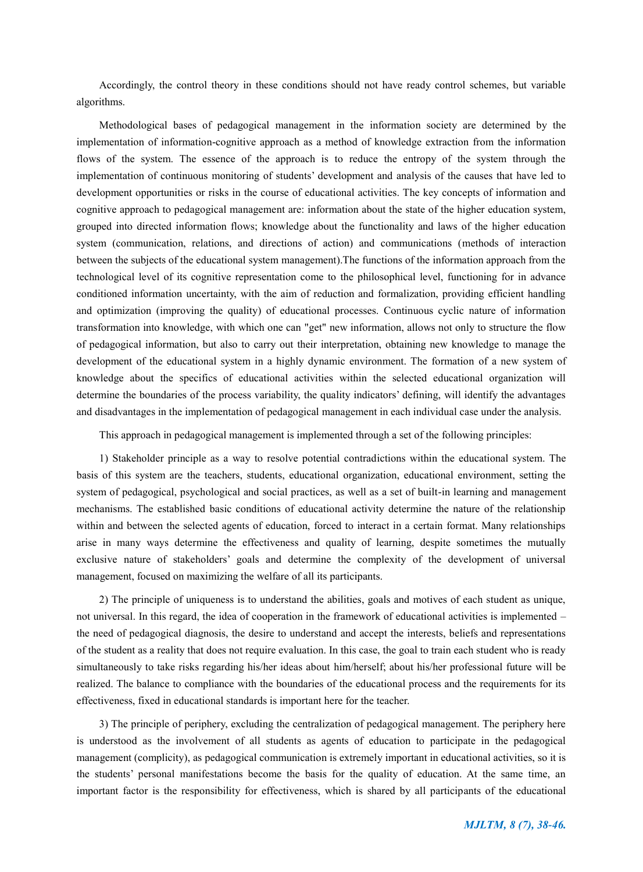Accordingly, the control theory in these conditions should not have ready control schemes, but variable algorithms.

Methodological bases of pedagogical management in the information society are determined by the implementation of information-cognitive approach as a method of knowledge extraction from the information flows of the system. The essence of the approach is to reduce the entropy of the system through the implementation of continuous monitoring of students' development and analysis of the causes that have led to development opportunities or risks in the course of educational activities. The key concepts of information and cognitive approach to pedagogical management are: information about the state of the higher education system, grouped into directed information flows; knowledge about the functionality and laws of the higher education system (communication, relations, and directions of action) and communications (methods of interaction between the subjects of the educational system management).The functions of the information approach from the technological level of its cognitive representation come to the philosophical level, functioning for in advance conditioned information uncertainty, with the aim of reduction and formalization, providing efficient handling and optimization (improving the quality) of educational processes. Continuous cyclic nature of information transformation into knowledge, with which one can "get" new information, allows not only to structure the flow of pedagogical information, but also to carry out their interpretation, obtaining new knowledge to manage the development of the educational system in a highly dynamic environment. The formation of a new system of knowledge about the specifics of educational activities within the selected educational organization will determine the boundaries of the process variability, the quality indicators' defining, will identify the advantages and disadvantages in the implementation of pedagogical management in each individual case under the analysis.

This approach in pedagogical management is implemented through a set of the following principles:

1) Stakeholder principle as a way to resolve potential contradictions within the educational system. The basis of this system are the teachers, students, educational organization, educational environment, setting the system of pedagogical, psychological and social practices, as well as a set of built-in learning and management mechanisms. The established basic conditions of educational activity determine the nature of the relationship within and between the selected agents of education, forced to interact in a certain format. Many relationships arise in many ways determine the effectiveness and quality of learning, despite sometimes the mutually exclusive nature of stakeholders' goals and determine the complexity of the development of universal management, focused on maximizing the welfare of all its participants.

2) The principle of uniqueness is to understand the abilities, goals and motives of each student as unique, not universal. In this regard, the idea of cooperation in the framework of educational activities is implemented – the need of pedagogical diagnosis, the desire to understand and accept the interests, beliefs and representations of the student as a reality that does not require evaluation. In this case, the goal to train each student who is ready simultaneously to take risks regarding his/her ideas about him/herself; about his/her professional future will be realized. The balance to compliance with the boundaries of the educational process and the requirements for its effectiveness, fixed in educational standards is important here for the teacher.

3) The principle of periphery, excluding the centralization of pedagogical management. The periphery here is understood as the involvement of all students as agents of education to participate in the pedagogical management (complicity), as pedagogical communication is extremely important in educational activities, so it is the students' personal manifestations become the basis for the quality of education. At the same time, an important factor is the responsibility for effectiveness, which is shared by all participants of the educational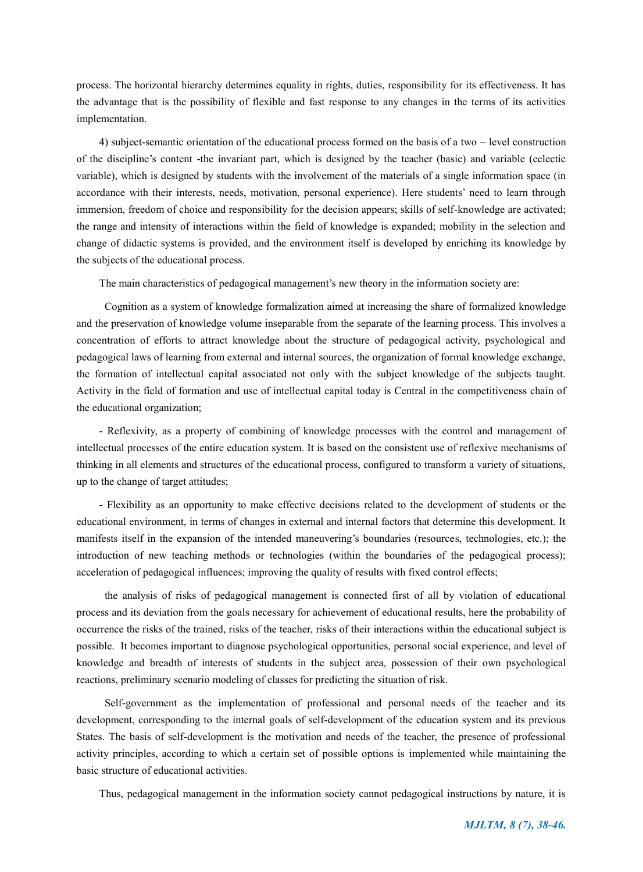process. The horizontal hierarchy determines equality in rights, duties, responsibility for its effectiveness. It has the advantage that is the possibility of flexible and fast response to any changes in the terms of its activities implementation.

4) subject-semantic orientation of the educational process formed on the basis of a two – level construction of the discipline's content -the invariant part, which is designed by the teacher (basic) and variable (eclectic variable), which is designed by students with the involvement of the materials of a single information space (in accordance with their interests, needs, motivation, personal experience). Here students' need to learn through immersion, freedom of choice and responsibility for the decision appears; skills of self-knowledge are activated; the range and intensity of interactions within the field of knowledge is expanded; mobility in the selection and change of didactic systems is provided, and the environment itself is developed by enriching its knowledge by the subjects of the educational process.

The main characteristics of pedagogical management's new theory in the information society are:

 Cognition as a system of knowledge formalization aimed at increasing the share of formalized knowledge and the preservation of knowledge volume inseparable from the separate of the learning process. This involves a concentration of efforts to attract knowledge about the structure of pedagogical activity, psychological and pedagogical laws of learning from external and internal sources, the organization of formal knowledge exchange, the formation of intellectual capital associated not only with the subject knowledge of the subjects taught. Activity in the field of formation and use of intellectual capital today is Central in the competitiveness chain of the educational organization;

- Reflexivity, as a property of combining of knowledge processes with the control and management of intellectual processes of the entire education system. It is based on the consistent use of reflexive mechanisms of thinking in all elements and structures of the educational process, configured to transform a variety of situations, up to the change of target attitudes;

- Flexibility as an opportunity to make effective decisions related to the development of students or the educational environment, in terms of changes in external and internal factors that determine this development. It manifests itself in the expansion of the intended maneuvering's boundaries (resources, technologies, etc.); the introduction of new teaching methods or technologies (within the boundaries of the pedagogical process); acceleration of pedagogical influences; improving the quality of results with fixed control effects;

 the analysis of risks of pedagogical management is connected first of all by violation of educational process and its deviation from the goals necessary for achievement of educational results, here the probability of occurrence the risks of the trained, risks of the teacher, risks of their interactions within the educational subject is possible. It becomes important to diagnose psychological opportunities, personal social experience, and level of knowledge and breadth of interests of students in the subject area, possession of their own psychological reactions, preliminary scenario modeling of classes for predicting the situation of risk.

 Self-government as the implementation of professional and personal needs of the teacher and its development, corresponding to the internal goals of self-development of the education system and its previous States. The basis of self-development is the motivation and needs of the teacher, the presence of professional activity principles, according to which a certain set of possible options is implemented while maintaining the basic structure of educational activities.

Thus, pedagogical management in the information society cannot pedagogical instructions by nature, it is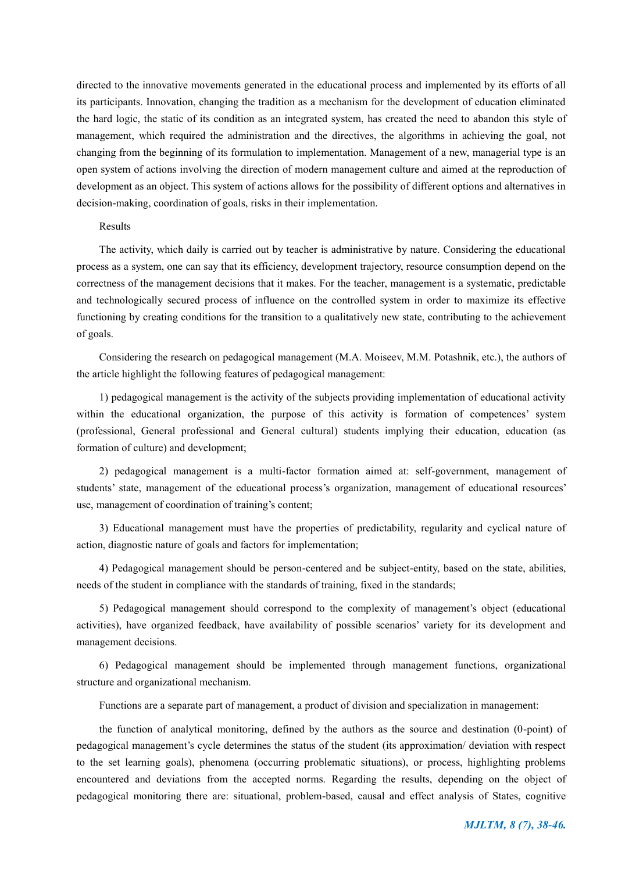directed to the innovative movements generated in the educational process and implemented by its efforts of all its participants. Innovation, changing the tradition as a mechanism for the development of education eliminated the hard logic, the static of its condition as an integrated system, has created the need to abandon this style of management, which required the administration and the directives, the algorithms in achieving the goal, not changing from the beginning of its formulation to implementation. Management of a new, managerial type is an open system of actions involving the direction of modern management culture and aimed at the reproduction of development as an object. This system of actions allows for the possibility of different options and alternatives in decision-making, coordination of goals, risks in their implementation.

## Results

The activity, which daily is carried out by teacher is administrative by nature. Considering the educational process as a system, one can say that its efficiency, development trajectory, resource consumption depend on the correctness of the management decisions that it makes. For the teacher, management is a systematic, predictable and technologically secured process of influence on the controlled system in order to maximize its effective functioning by creating conditions for the transition to a qualitatively new state, contributing to the achievement of goals.

Considering the research on pedagogical management (M.A. Moiseev, M.M. Potashnik, etc.), the authors of the article highlight the following features of pedagogical management:

1) pedagogical management is the activity of the subjects providing implementation of educational activity within the educational organization, the purpose of this activity is formation of competences' system (professional, General professional and General cultural) students implying their education, education (as formation of culture) and development;

2) pedagogical management is a multi-factor formation aimed at: self-government, management of students' state, management of the educational process's organization, management of educational resources' use, management of coordination of training's content;

3) Educational management must have the properties of predictability, regularity and cyclical nature of action, diagnostic nature of goals and factors for implementation;

4) Pedagogical management should be person-centered and be subject-entity, based on the state, abilities, needs of the student in compliance with the standards of training, fixed in the standards;

5) Pedagogical management should correspond to the complexity of management's object (educational activities), have organized feedback, have availability of possible scenarios' variety for its development and management decisions.

6) Pedagogical management should be implemented through management functions, organizational structure and organizational mechanism.

Functions are a separate part of management, a product of division and specialization in management:

the function of analytical monitoring, defined by the authors as the source and destination (0-point) of pedagogical management's cycle determines the status of the student (its approximation/ deviation with respect to the set learning goals), phenomena (occurring problematic situations), or process, highlighting problems encountered and deviations from the accepted norms. Regarding the results, depending on the object of pedagogical monitoring there are: situational, problem-based, causal and effect analysis of States, cognitive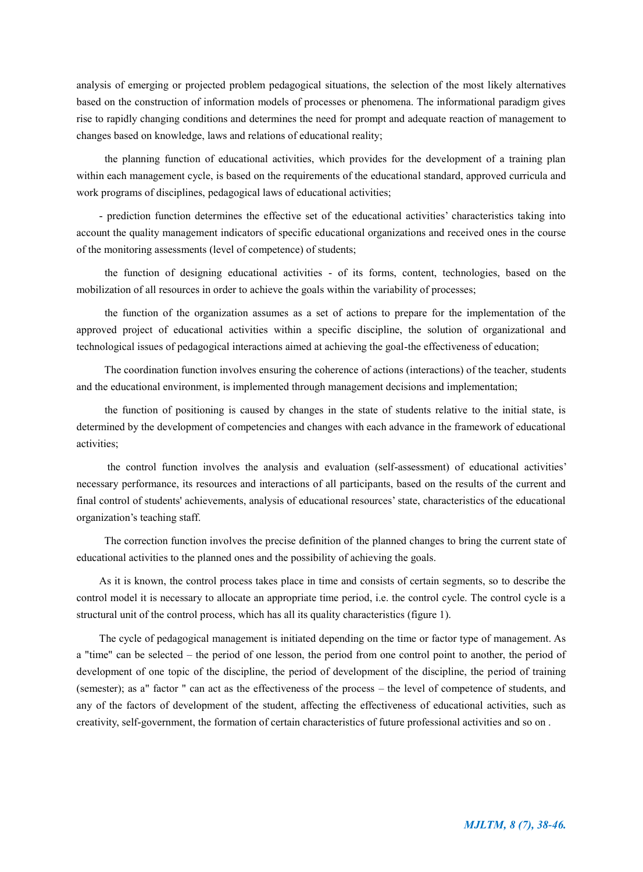analysis of emerging or projected problem pedagogical situations, the selection of the most likely alternatives based on the construction of information models of processes or phenomena. The informational paradigm gives rise to rapidly changing conditions and determines the need for prompt and adequate reaction of management to changes based on knowledge, laws and relations of educational reality;

 the planning function of educational activities, which provides for the development of a training plan within each management cycle, is based on the requirements of the educational standard, approved curricula and work programs of disciplines, pedagogical laws of educational activities;

- prediction function determines the effective set of the educational activities' characteristics taking into account the quality management indicators of specific educational organizations and received ones in the course of the monitoring assessments (level of competence) of students;

 the function of designing educational activities - of its forms, content, technologies, based on the mobilization of all resources in order to achieve the goals within the variability of processes;

 the function of the organization assumes as a set of actions to prepare for the implementation of the approved project of educational activities within a specific discipline, the solution of organizational and technological issues of pedagogical interactions aimed at achieving the goal-the effectiveness of education;

 The coordination function involves ensuring the coherence of actions (interactions) of the teacher, students and the educational environment, is implemented through management decisions and implementation;

 the function of positioning is caused by changes in the state of students relative to the initial state, is determined by the development of competencies and changes with each advance in the framework of educational activities;

 the control function involves the analysis and evaluation (self-assessment) of educational activities' necessary performance, its resources and interactions of all participants, based on the results of the current and final control of students' achievements, analysis of educational resources' state, characteristics of the educational organization's teaching staff.

 The correction function involves the precise definition of the planned changes to bring the current state of educational activities to the planned ones and the possibility of achieving the goals.

As it is known, the control process takes place in time and consists of certain segments, so to describe the control model it is necessary to allocate an appropriate time period, i.e. the control cycle. The control cycle is a structural unit of the control process, which has all its quality characteristics (figure 1).

The cycle of pedagogical management is initiated depending on the time or factor type of management. As a "time" can be selected – the period of one lesson, the period from one control point to another, the period of development of one topic of the discipline, the period of development of the discipline, the period of training (semester); as a" factor " can act as the effectiveness of the process – the level of competence of students, and any of the factors of development of the student, affecting the effectiveness of educational activities, such as creativity, self-government, the formation of certain characteristics of future professional activities and so on .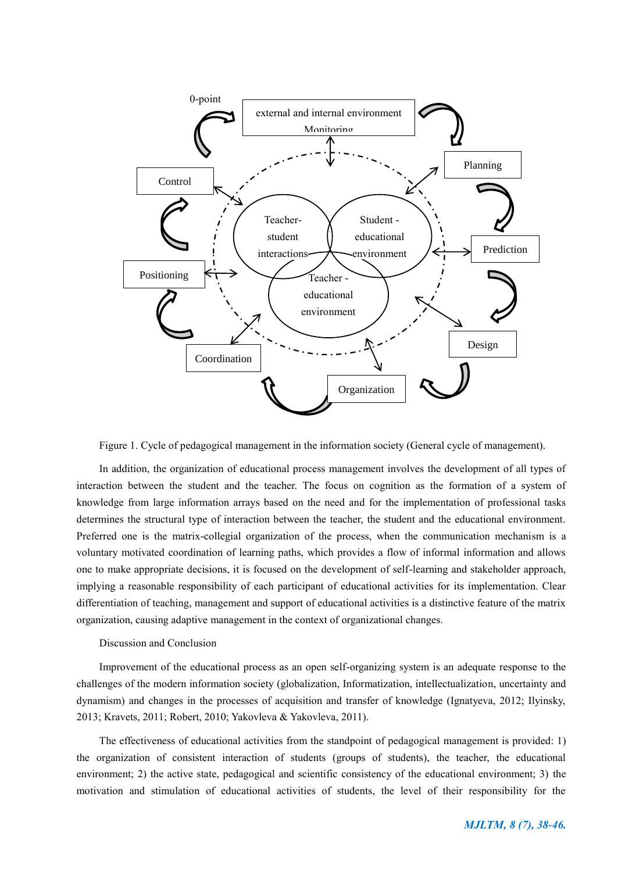

Figure 1. Cycle of pedagogical management in the information society (General cycle of management).

In addition, the organization of educational process management involves the development of all types of interaction between the student and the teacher. The focus on cognition as the formation of a system of knowledge from large information arrays based on the need and for the implementation of professional tasks determines the structural type of interaction between the teacher, the student and the educational environment. Preferred one is the matrix-collegial organization of the process, when the communication mechanism is a voluntary motivated coordination of learning paths, which provides a flow of informal information and allows one to make appropriate decisions, it is focused on the development of self-learning and stakeholder approach, implying a reasonable responsibility of each participant of educational activities for its implementation. Clear differentiation of teaching, management and support of educational activities is a distinctive feature of the matrix organization, causing adaptive management in the context of organizational changes.

#### Discussion and Conclusion

Improvement of the educational process as an open self-organizing system is an adequate response to the challenges of the modern information society (globalization, Informatization, intellectualization, uncertainty and dynamism) and changes in the processes of acquisition and transfer of knowledge (Ignatyeva, 2012; Ilyinsky, 2013; Kravets, 2011; Robert, 2010; Yakovleva & Yakovleva, 2011).

The effectiveness of educational activities from the standpoint of pedagogical management is provided: 1) the organization of consistent interaction of students (groups of students), the teacher, the educational environment; 2) the active state, pedagogical and scientific consistency of the educational environment; 3) the motivation and stimulation of educational activities of students, the level of their responsibility for the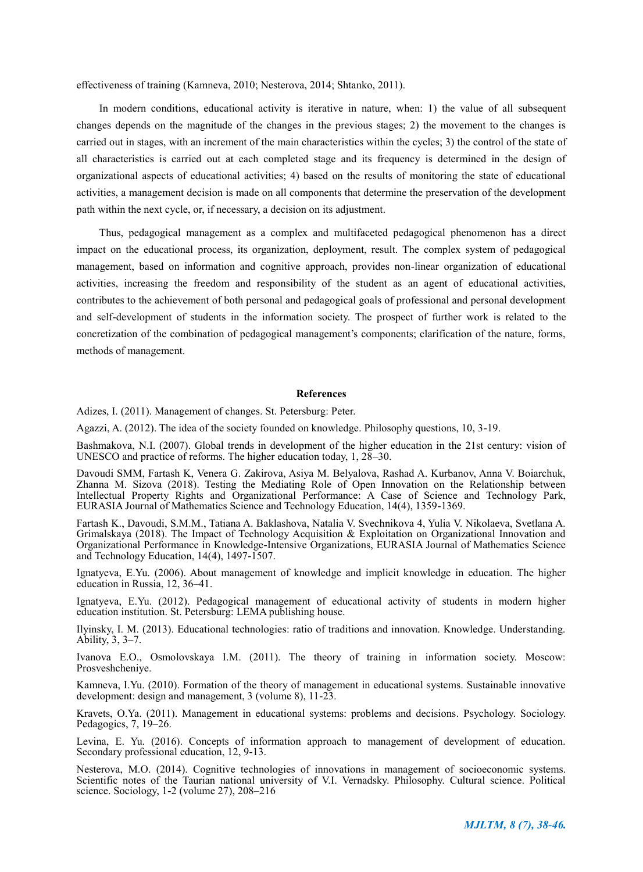effectiveness of training (Kamneva, 2010; Nesterova, 2014; Shtanko, 2011).

In modern conditions, educational activity is iterative in nature, when: 1) the value of all subsequent changes depends on the magnitude of the changes in the previous stages; 2) the movement to the changes is carried out in stages, with an increment of the main characteristics within the cycles; 3) the control of the state of all characteristics is carried out at each completed stage and its frequency is determined in the design of organizational aspects of educational activities; 4) based on the results of monitoring the state of educational activities, a management decision is made on all components that determine the preservation of the development path within the next cycle, or, if necessary, a decision on its adjustment.

Thus, pedagogical management as a complex and multifaceted pedagogical phenomenon has a direct impact on the educational process, its organization, deployment, result. The complex system of pedagogical management, based on information and cognitive approach, provides non-linear organization of educational activities, increasing the freedom and responsibility of the student as an agent of educational activities, contributes to the achievement of both personal and pedagogical goals of professional and personal development and self-development of students in the information society. The prospect of further work is related to the concretization of the combination of pedagogical management's components; clarification of the nature, forms, methods of management.

#### **References**

Adizes, I. (2011). Management of changes. St. Petersburg: Peter.

Agazzi, A. (2012). The idea of the society founded on knowledge. Philosophy questions, 10, 3-19.

Bashmakova, N.I. (2007). Global trends in development of the higher education in the 21st century: vision of UNESCO and practice of reforms. The higher education today, 1, 28–30.

Davoudi SMM, Fartash K, Venera G. Zakirova, Asiya M. Belyalova, Rashad A. Kurbanov, Anna V. Boiarchuk, Zhanna M. Sizova (2018). Testing the Mediating Role of Open Innovation on the Relationship between Intellectual Property Rights and Organizational Performance: A Case of Science and Technology Park, EURASIA Journal of Mathematics Science and Technology Education, 14(4), 1359-1369.

Fartash K., Davoudi, S.M.M., Tatiana A. Baklashova, Natalia V. Svechnikova 4, Yulia V. Nikolaeva, Svetlana A. Grimalskaya (2018). The Impact of Technology Acquisition & Exploitation on Organizational Innovation and Organizational Performance in Knowledge-Intensive Organizations, EURASIA Journal of Mathematics Science and Technology Education, 14(4), 1497-1507.

Ignatyeva, E.Yu. (2006). About management of knowledge and implicit knowledge in education. The higher education in Russia, 12, 36–41.

Ignatyeva, E.Yu. (2012). Pedagogical management of educational activity of students in modern higher education institution. St. Petersburg: LEMA publishing house.

Ilyinsky, I. M. (2013). Educational technologies: ratio of traditions and innovation. Knowledge. Understanding. Ability, 3, 3–7.

Ivanova E.O., Osmolovskaya I.M. (2011). The theory of training in information society. Moscow: Prosveshcheniye.

Kamneva, I.Yu. (2010). Formation of the theory of management in educational systems. Sustainable innovative development: design and management, 3 (volume 8), 11-23.

Kravets, O.Ya. (2011). Management in educational systems: problems and decisions. Psychology. Sociology. Pedagogics, 7, 19–26.

Levina, E. Yu. (2016). Concepts of information approach to management of development of education. Secondary professional education, 12, 9-13.

Nesterova, M.O. (2014). Cognitive technologies of innovations in management of socioeconomic systems. Scientific notes of the Taurian national university of V.I. Vernadsky. Philosophy. Cultural science. Political science. Sociology, 1-2 (volume 27), 208–216